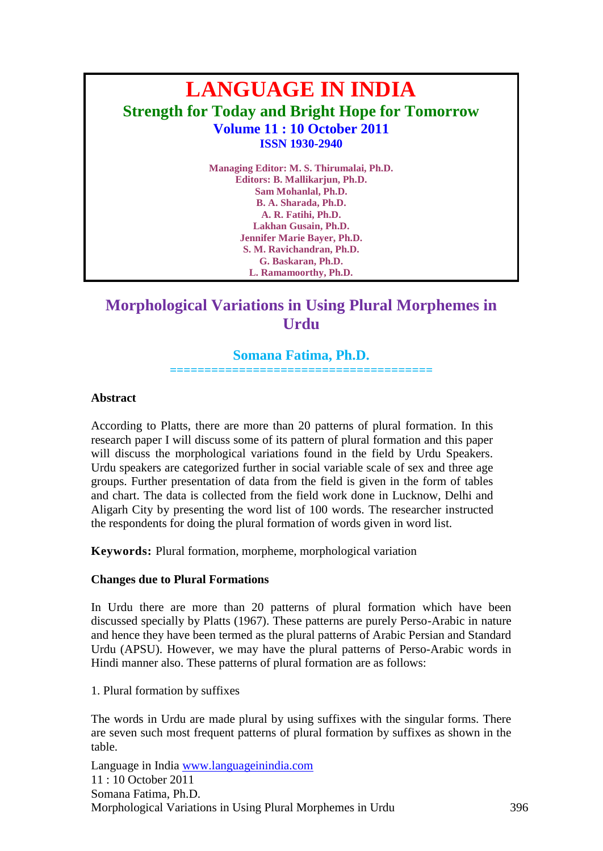# **LANGUAGE IN INDIA Strength for Today and Bright Hope for Tomorrow Volume 11 : 10 October 2011 ISSN 1930-2940**

**Managing Editor: M. S. Thirumalai, Ph.D. Editors: B. Mallikarjun, Ph.D. Sam Mohanlal, Ph.D. B. A. Sharada, Ph.D. A. R. Fatihi, Ph.D. Lakhan Gusain, Ph.D. Jennifer Marie Bayer, Ph.D. S. M. Ravichandran, Ph.D. G. Baskaran, Ph.D. L. Ramamoorthy, Ph.D.**

## **Morphological Variations in Using Plural Morphemes in Urdu**

## **Somana Fatima, Ph.D.**

**======================================**

### **Abstract**

According to Platts, there are more than 20 patterns of plural formation. In this research paper I will discuss some of its pattern of plural formation and this paper will discuss the morphological variations found in the field by Urdu Speakers. Urdu speakers are categorized further in social variable scale of sex and three age groups. Further presentation of data from the field is given in the form of tables and chart. The data is collected from the field work done in Lucknow, Delhi and Aligarh City by presenting the word list of 100 words. The researcher instructed the respondents for doing the plural formation of words given in word list.

**Keywords:** Plural formation, morpheme, morphological variation

## **Changes due to Plural Formations**

In Urdu there are more than 20 patterns of plural formation which have been discussed specially by Platts (1967). These patterns are purely Perso-Arabic in nature and hence they have been termed as the plural patterns of Arabic Persian and Standard Urdu (APSU). However, we may have the plural patterns of Perso-Arabic words in Hindi manner also. These patterns of plural formation are as follows:

1. Plural formation by suffixes

The words in Urdu are made plural by using suffixes with the singular forms. There are seven such most frequent patterns of plural formation by suffixes as shown in the table.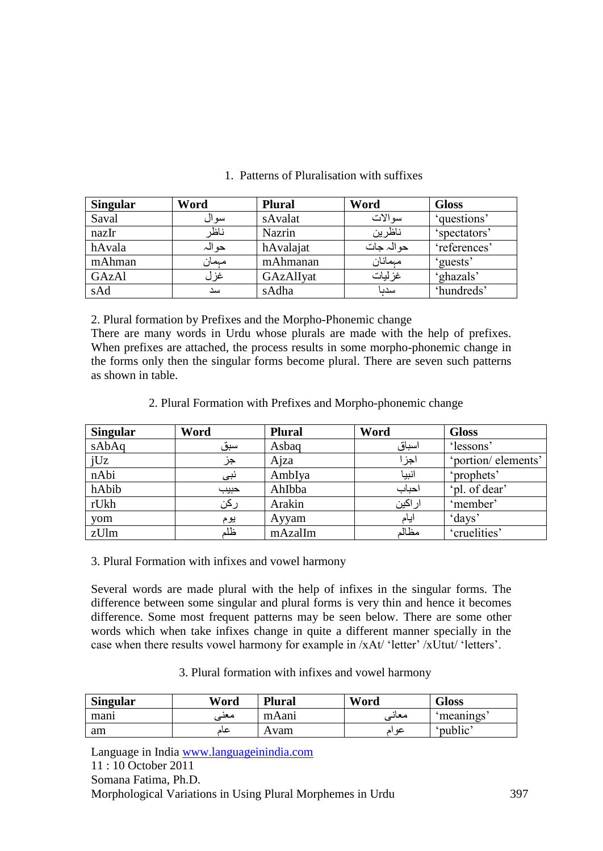| <b>Singular</b> | Word  | <b>Plural</b> | Word       | <b>Gloss</b> |
|-----------------|-------|---------------|------------|--------------|
| Saval           | سو ال | sAvalat       | سو الات    | 'questions'  |
| nazIr           | ناظر  | <b>Nazrin</b> | ناظرين     | 'spectators' |
| hAvala          | حوالہ | hAvalajat     | حو الہ جات | 'references' |
| mAhman          | مبمان | mAhmanan      | مبمانان    | 'guests'     |
| GAzAl           | غزل   | GAzAlIyat     | غز ليات    | 'ghazals'    |
| sAd             | سد    | sAdha         | سدىا       | 'hundreds'   |

## 1. Patterns of Pluralisation with suffixes

2. Plural formation by Prefixes and the Morpho-Phonemic change

There are many words in Urdu whose plurals are made with the help of prefixes. When prefixes are attached, the process results in some morpho-phonemic change in the forms only then the singular forms become plural. There are seven such patterns as shown in table.

2. Plural Formation with Prefixes and Morpho-phonemic change

| <b>Singular</b> | Word | <b>Plural</b> | Word    | <b>Gloss</b>       |
|-----------------|------|---------------|---------|--------------------|
| sAbAq           | سبق  | Asbaq         | اسباق   | 'lessons'          |
| jUz             | جز   | Ajza          | اجزا    | 'portion/elements' |
| nAbi            | نبي  | AmbIya        | انبيا   | 'prophets'         |
| hAbib           | حبيب | Ahlbba        | احباب   | 'pl. of dear'      |
| rUkh            | ركن  | Arakin        | ار اکين | 'member'           |
| yom             | يوم  | Ayyam         | ايام    | days <sup>?</sup>  |
| zUlm            | ظلم  | mAzalIm       | مظالم   | 'cruelities'       |

3. Plural Formation with infixes and vowel harmony

Several words are made plural with the help of infixes in the singular forms. The difference between some singular and plural forms is very thin and hence it becomes difference. Some most frequent patterns may be seen below. There are some other words which when take infixes change in quite a different manner specially in the case when there results vowel harmony for example in /xAt/ 'letter' /xUtut/ 'letters'.

## 3. Plural formation with infixes and vowel harmony

| <b>Singular</b> | Word | <b>Plural</b> | Word     | <b>Gloss</b> |
|-----------------|------|---------------|----------|--------------|
| manı            | معد  | mAani         | معانے ِ  | meanings     |
| am              | عاد  | Avam          | عه<br>اد | 'public'     |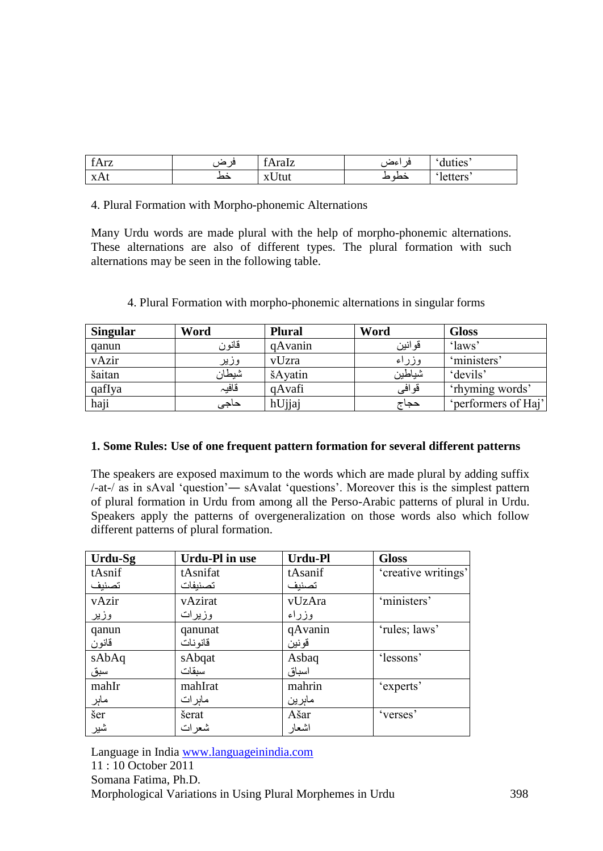| t Arz | 19<br>$\sim$ | $\sim$<br>fAralz | اعصا<br>$\cdot$ | duties  |
|-------|--------------|------------------|-----------------|---------|
| xAt   | حط           | x Utut           | حصہ ص           | letters |

4. Plural Formation with Morpho-phonemic Alternations

Many Urdu words are made plural with the help of morpho-phonemic alternations. These alternations are also of different types. The plural formation with such alternations may be seen in the following table.

| <b>Singular</b> | Word  | <b>Plural</b> | Word   | <b>Gloss</b>        |
|-----------------|-------|---------------|--------|---------------------|
| qanun           | قانون | qAvanin       | قوانين | 'laws'              |
| vAzir           | وزير  | vUzra         | وزراء  | 'ministers'         |
| šaitan          | شيطان | šAyatin       | شياطين | 'devils'            |
| qafIya          | قافيہ | qAvafi        | قوافي  | 'rhyming words'     |
| haji            | حاجى  | hUjjaj        | حجاج   | 'performers of Haj' |

|  |  | 4. Plural Formation with morpho-phonemic alternations in singular forms |
|--|--|-------------------------------------------------------------------------|
|--|--|-------------------------------------------------------------------------|

#### **1. Some Rules: Use of one frequent pattern formation for several different patterns**

The speakers are exposed maximum to the words which are made plural by adding suffix /-at-/ as in sAval 'question'― sAvalat 'questions'. Moreover this is the simplest pattern of plural formation in Urdu from among all the Perso-Arabic patterns of plural in Urdu. Speakers apply the patterns of overgeneralization on those words also which follow different patterns of plural formation.

| Urdu-Sg             | <b>Urdu-Pl in use</b> | <b>Urdu-Pl</b> | <b>Gloss</b>        |
|---------------------|-----------------------|----------------|---------------------|
| tAsnif              | tAsnifat              | tAsanif        | 'creative writings' |
| تصنيف               | تصنيفات               | تصنيف          |                     |
| vAzir               | vAzirat               | vUzAra         | 'ministers'         |
| وزير                | وزيرات                | وزراء          |                     |
| qanun               | qanunat               | qAvanin        | 'rules; laws'       |
| قانون               | قانو نات              | قونين          |                     |
| sAbAq               | sAbqat                | Asbaq          | 'lessons'           |
| سبق                 | سىقات                 | اسباق          |                     |
| mahIr               | mahIrat               | mahrin         | 'experts'           |
| ما <u>ېر</u><br>šer | ماہرات                | ماہرین         |                     |
|                     | šerat                 | Ašar           | 'verses'            |
| شير                 | شعرات                 | اشعار          |                     |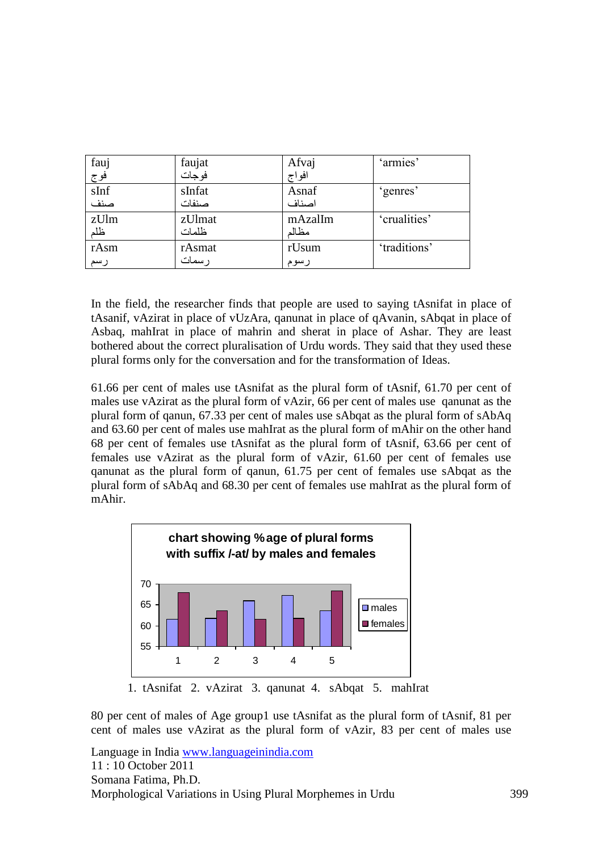| fauj          | faujat | Afvaj   | 'armies'     |
|---------------|--------|---------|--------------|
| فوج  <br>sInf | فوجات  | افواج   |              |
|               | sInfat | Asnaf   | 'genres'     |
| صنف           | صنفات  | اصناف   |              |
| zUlm          | zUlmat | mAzalIm | 'crualities' |
| ظلم           | ظلمات  | مظالم   |              |
| rAsm          | rAsmat | rUsum   | 'traditions' |
| رسم           | ر سمات | رسوم    |              |

In the field, the researcher finds that people are used to saying tAsnifat in place of tAsanif, vAzirat in place of vUzAra, qanunat in place of qAvanin, sAbqat in place of Asbaq, mahIrat in place of mahrin and sherat in place of Ashar. They are least bothered about the correct pluralisation of Urdu words. They said that they used these plural forms only for the conversation and for the transformation of Ideas.

61.66 per cent of males use tAsnifat as the plural form of tAsnif, 61.70 per cent of males use vAzirat as the plural form of vAzir, 66 per cent of males use qanunat as the plural form of qanun, 67.33 per cent of males use sAbqat as the plural form of sAbAq and 63.60 per cent of males use mahIrat as the plural form of mAhir on the other hand 68 per cent of females use tAsnifat as the plural form of tAsnif, 63.66 per cent of females use vAzirat as the plural form of vAzir, 61.60 per cent of females use qanunat as the plural form of qanun, 61.75 per cent of females use sAbqat as the plural form of sAbAq and 68.30 per cent of females use mahIrat as the plural form of mAhir.



80 per cent of males of Age group1 use tAsnifat as the plural form of tAsnif, 81 per cent of males use vAzirat as the plural form of vAzir, 83 per cent of males use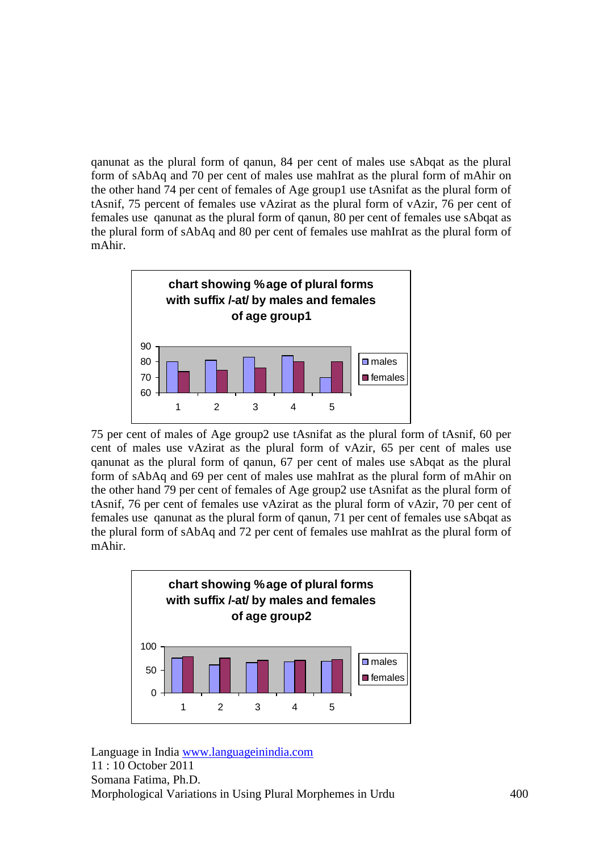qanunat as the plural form of qanun, 84 per cent of males use sAbqat as the plural form of sAbAq and 70 per cent of males use mahIrat as the plural form of mAhir on the other hand 74 per cent of females of Age group1 use tAsnifat as the plural form of tAsnif, 75 percent of females use vAzirat as the plural form of vAzir, 76 per cent of females use qanunat as the plural form of qanun, 80 per cent of females use sAbqat as the plural form of sAbAq and 80 per cent of females use mahIrat as the plural form of mAhir.



75 per cent of males of Age group2 use tAsnifat as the plural form of tAsnif, 60 per cent of males use vAzirat as the plural form of vAzir, 65 per cent of males use qanunat as the plural form of qanun, 67 per cent of males use sAbqat as the plural form of sAbAq and 69 per cent of males use mahIrat as the plural form of mAhir on the other hand 79 per cent of females of Age group2 use tAsnifat as the plural form of tAsnif, 76 per cent of females use vAzirat as the plural form of vAzir, 70 per cent of females use qanunat as the plural form of qanun, 71 per cent of females use sAbqat as the plural form of sAbAq and 72 per cent of females use mahIrat as the plural form of mAhir.

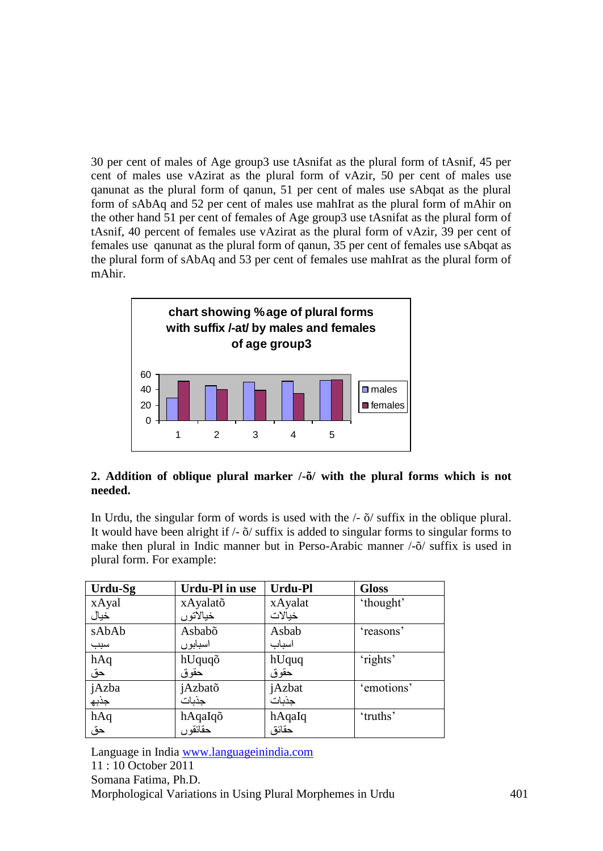30 per cent of males of Age group3 use tAsnifat as the plural form of tAsnif, 45 per cent of males use vAzirat as the plural form of vAzir, 50 per cent of males use qanunat as the plural form of qanun, 51 per cent of males use sAbqat as the plural form of sAbAq and 52 per cent of males use mahIrat as the plural form of mAhir on the other hand 51 per cent of females of Age group3 use tAsnifat as the plural form of tAsnif, 40 percent of females use vAzirat as the plural form of vAzir, 39 per cent of females use qanunat as the plural form of qanun, 35 per cent of females use sAbqat as the plural form of sAbAq and 53 per cent of females use mahIrat as the plural form of mAhir.



## **2. Addition of oblique plural marker /-õ/ with the plural forms which is not needed.**

In Urdu, the singular form of words is used with the /- õ/ suffix in the oblique plural. It would have been alright if /- õ/ suffix is added to singular forms to singular forms to make then plural in Indic manner but in Perso-Arabic manner /-õ/ suffix is used in plural form. For example:

| Urdu-Sg | Urdu-Pl in use | Urdu-Pl | <b>Gloss</b> |
|---------|----------------|---------|--------------|
| xAyal   | xAyalatõ       | xAyalat | 'thought'    |
| خيال    | خيالاتوں       | خبالات  |              |
| sAbAb   | Asbabõ         | Asbab   | 'reasons'    |
| سبب     | اسبابوں        | اسباب   |              |
| hAq     | hUquqõ         | hUquq   | 'rights'     |
| حق      | حقوق           | حقوق    |              |
| jAzba   | jAzbatõ        | jAzbat  | 'emotions'   |
| جذبه    | جذبات          | جذبات   |              |
| hAq     | hAqaIqõ        | hAqaIq  | 'truths'     |
| حق      | حقائقو ں       | حقائق   |              |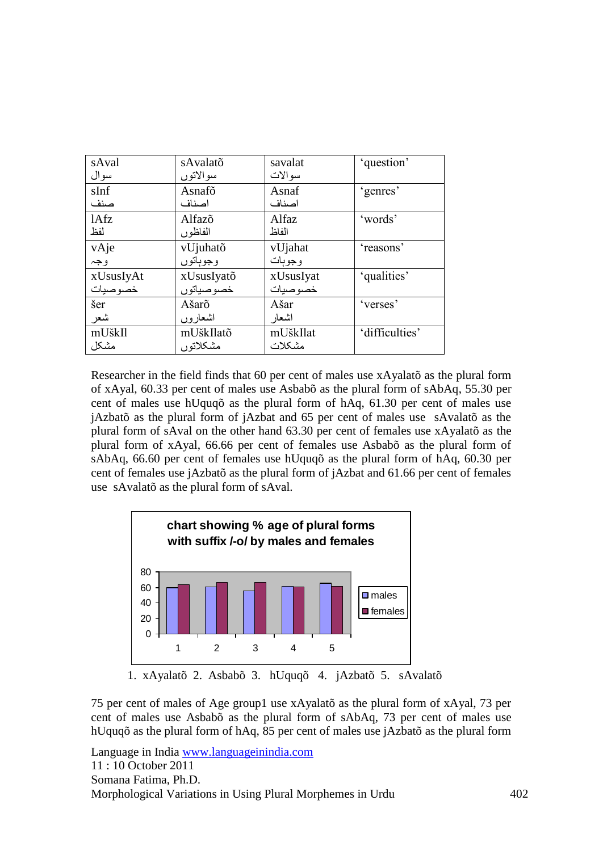| sAval     | sAvalatõ   | savalat   | 'question'     |
|-----------|------------|-----------|----------------|
| سوال      | سوالاتوں   | سو الات   |                |
| sInf      | Asnafõ     | Asnaf     | 'genres'       |
| صنف       | اصناف      | اصناف     |                |
| 1Afz      | Alfazõ     | Alfaz     | 'words'        |
| لفظ       | الفاظور    | الفاظ     |                |
| vAje      | vUjuhatõ   | vUjahat   | 'reasons'      |
| وجہ       | وجوباتوں   | وجوبات    |                |
| xUsusIyAt | xUsusIyatõ | xUsusIyat | 'qualities'    |
| خصوصيات   | خصوصياتوں  | خصوصيات   |                |
| šer       | Ašarõ      | Ašar      | 'verses'       |
| شعر       | اشعار و ں  | اشعار     |                |
| mUškIl    | mUškIlatõ  | mUškIlat  | 'difficulties' |
| مشكل      | مشكلاتوں   | مشكلات    |                |

Researcher in the field finds that 60 per cent of males use xAyalatõ as the plural form of xAyal, 60.33 per cent of males use Asbabõ as the plural form of sAbAq, 55.30 per cent of males use hUquqõ as the plural form of hAq, 61.30 per cent of males use jAzbatõ as the plural form of jAzbat and 65 per cent of males use sAvalatõ as the plural form of sAval on the other hand 63.30 per cent of females use xAyalatõ as the plural form of xAyal, 66.66 per cent of females use Asbabõ as the plural form of sAbAq, 66.60 per cent of females use hUquqõ as the plural form of hAq, 60.30 per cent of females use jAzbatõ as the plural form of jAzbat and 61.66 per cent of females use sAvalatõ as the plural form of sAval.



75 per cent of males of Age group1 use xAyalatõ as the plural form of xAyal, 73 per cent of males use Asbabõ as the plural form of sAbAq, 73 per cent of males use hUquqõ as the plural form of hAq, 85 per cent of males use jAzbatõ as the plural form

```
Language in India www.languageinindia.com
11 : 10 October 2011
Somana Fatima, Ph.D.
Morphological Variations in Using Plural Morphemes in Urdu 402
```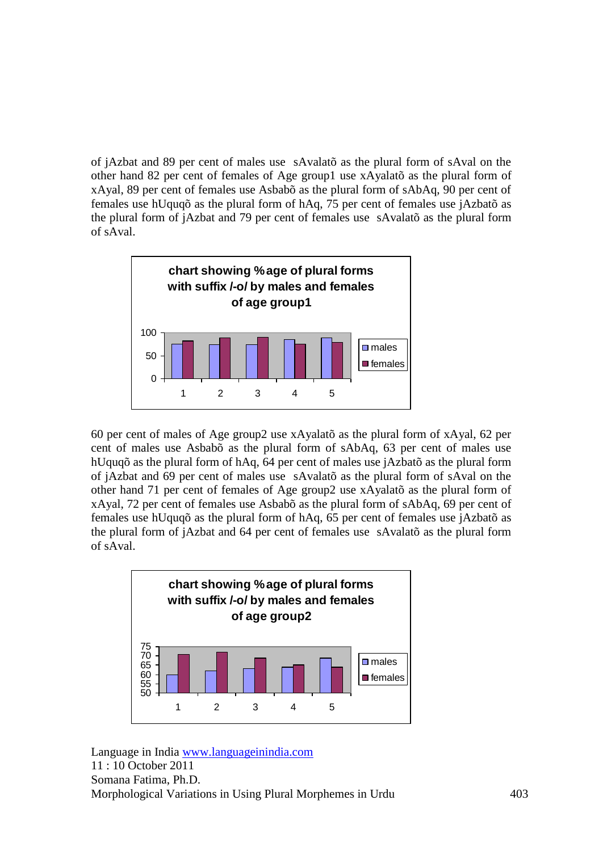of jAzbat and 89 per cent of males use sAvalatõ as the plural form of sAval on the other hand 82 per cent of females of Age group1 use xAyalatõ as the plural form of xAyal, 89 per cent of females use Asbabõ as the plural form of sAbAq, 90 per cent of females use hUquqõ as the plural form of hAq, 75 per cent of females use jAzbatõ as the plural form of jAzbat and 79 per cent of females use sAvalatõ as the plural form of sAval.



60 per cent of males of Age group2 use xAyalatõ as the plural form of xAyal, 62 per cent of males use Asbabõ as the plural form of sAbAq, 63 per cent of males use hUquqõ as the plural form of hAq, 64 per cent of males use jAzbatõ as the plural form of jAzbat and 69 per cent of males use sAvalatõ as the plural form of sAval on the other hand 71 per cent of females of Age group2 use xAyalatõ as the plural form of xAyal, 72 per cent of females use Asbabõ as the plural form of sAbAq, 69 per cent of females use hUquqõ as the plural form of hAq, 65 per cent of females use jAzbatõ as the plural form of jAzbat and 64 per cent of females use sAvalatõ as the plural form of sAval.

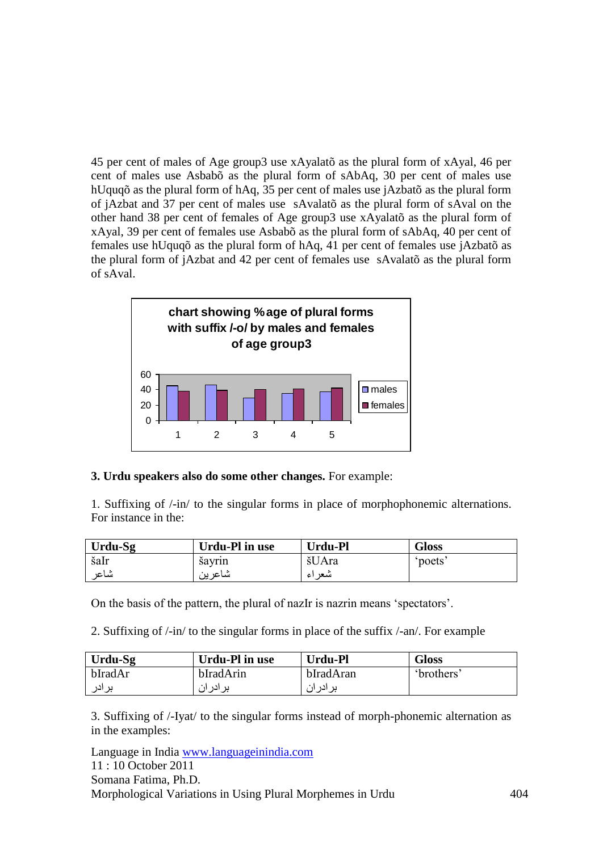45 per cent of males of Age group3 use xAyalatõ as the plural form of xAyal, 46 per cent of males use Asbabõ as the plural form of sAbAq, 30 per cent of males use hUquqõ as the plural form of hAq, 35 per cent of males use jAzbatõ as the plural form of jAzbat and 37 per cent of males use sAvalatõ as the plural form of sAval on the other hand 38 per cent of females of Age group3 use xAyalatõ as the plural form of xAyal, 39 per cent of females use Asbabõ as the plural form of sAbAq, 40 per cent of females use hUquqõ as the plural form of hAq, 41 per cent of females use jAzbatõ as the plural form of jAzbat and 42 per cent of females use sAvalatõ as the plural form of sAval.



## **3. Urdu speakers also do some other changes.** For example:

1. Suffixing of /-in/ to the singular forms in place of morphophonemic alternations. For instance in the:

| Urdu-Sg | <b>Urdu-Pl in use</b> | Urdu-Pl    | <b>Gloss</b> |
|---------|-----------------------|------------|--------------|
| šaIr    | sayrın                | šUAra      | poets        |
| شاعر    | شاعرين                | سعر<br>ا ع |              |

On the basis of the pattern, the plural of nazIr is nazrin means 'spectators'.

2. Suffixing of /-in/ to the singular forms in place of the suffix /-an/. For example

| Urdu-Sg | Urdu-Pl in use | <b>Urdu-Pl</b> | Gloss             |
|---------|----------------|----------------|-------------------|
| bIradAr | bIradArin      | bIradAran      | <i>'</i> brothers |
| بر ادر  | برادران        | بر ادر ان      |                   |

3. Suffixing of /-Iyat/ to the singular forms instead of morph-phonemic alternation as in the examples: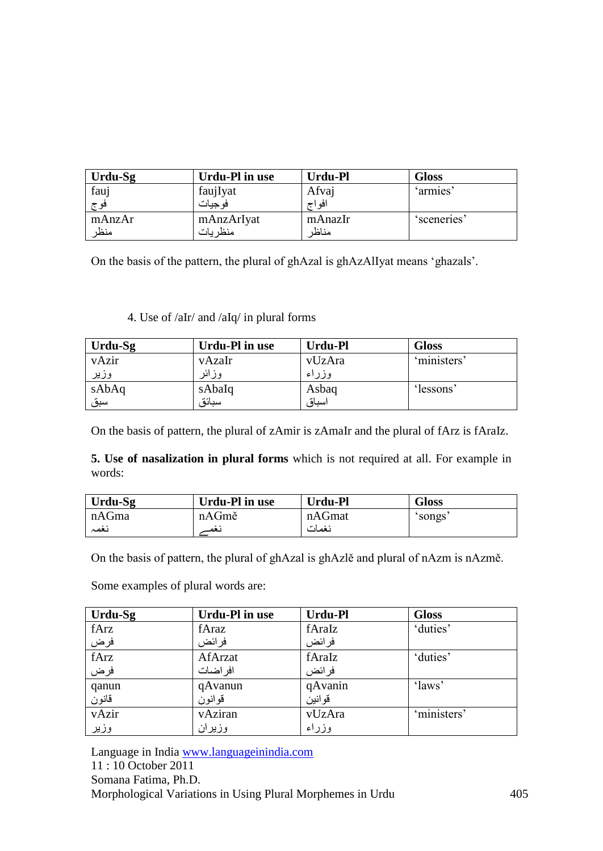| Urdu-Sg | Urdu-Pl in use | Urdu-Pl | <b>Gloss</b> |
|---------|----------------|---------|--------------|
| fauj    | faujIyat       | Afvaj   | 'armies'     |
| فو ج    | فوجيات         | افو اج  |              |
| mAnzAr  | mAnzArIyat     | mAnazIr | 'sceneries'  |
| منظر    | منظريات        | مناظر   |              |

On the basis of the pattern, the plural of ghAzal is ghAzAlIyat means 'ghazals'.

## 4. Use of /aIr/ and /aIq/ in plural forms

| Urdu-Sg | Urdu-Pl in use | Urdu-Pl | <b>Gloss</b> |
|---------|----------------|---------|--------------|
| vAzir   | vAzaIr         | vUzAra  | 'ministers'  |
| وزير    | وزائر          | وزراء   |              |
| sAbAq   | sAbaIq         | Asbaq   | 'lessons'    |
| سبق     | سنائة          | اسباق   |              |

On the basis of pattern, the plural of zAmir is zAmaIr and the plural of fArz is fAraIz.

**5. Use of nasalization in plural forms** which is not required at all. For example in words:

| Urdu-Sg | Urdu-Pl in use | Urdu-Pl | Gloss  |
|---------|----------------|---------|--------|
| nAGma   | nAGmě          | nAGmat  | 'songs |
| نغمہ    | نغم            | نغمات   |        |

On the basis of pattern, the plural of ghAzal is ghAzlě and plural of nAzm is nAzmě.

Some examples of plural words are:

| Urdu-Sg | <b>Urdu-Pl in use</b> | Urdu-Pl | <b>Gloss</b> |
|---------|-----------------------|---------|--------------|
| fArz    | fAraz                 | fAraIz  | 'duties'     |
| فرض     | فرائض                 | فرائض   |              |
| fArz    | AfArzat               | fAraIz  | 'duties'     |
| فرض     | افر اضات              | فرائض   |              |
| qanun   | qAvanun               | qAvanin | 'laws'       |
| قانون   | قوانون                | قوانين  |              |
| vAzir   | vAziran               | vUzAra  | 'ministers'  |
| وزير    | وزيران                | وزراء   |              |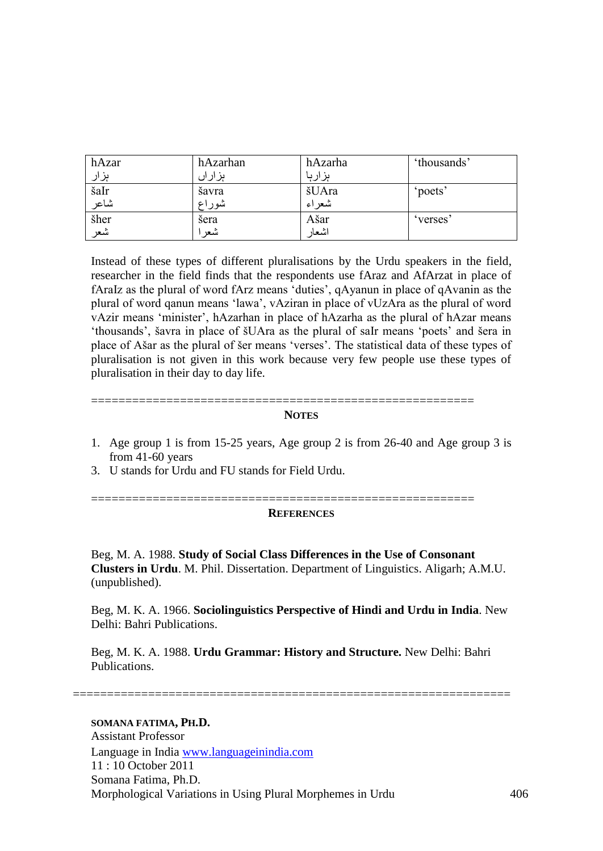| hAzar | hAzarhan | hAzarha | 'thousands' |
|-------|----------|---------|-------------|
| ہر ار | ہزاراں   | ہزارہا  |             |
| šaIr  | šavra    | šUAra   | 'poets'     |
| شاعر  | شوراع    | شعر اء  |             |
| šher  | šera     | Ašar    | verses      |
| شعر   | شعر      | اشعار   |             |

Instead of these types of different pluralisations by the Urdu speakers in the field, researcher in the field finds that the respondents use fAraz and AfArzat in place of fAraIz as the plural of word fArz means 'duties', qAyanun in place of qAvanin as the plural of word qanun means 'lawa', vAziran in place of vUzAra as the plural of word vAzir means 'minister', hAzarhan in place of hAzarha as the plural of hAzar means 'thousands', šavra in place of šUAra as the plural of saIr means 'poets' and šera in place of Ašar as the plural of šer means 'verses'. The statistical data of these types of pluralisation is not given in this work because very few people use these types of pluralisation in their day to day life.

#### **NOTES**

========================================================

- 1. Age group 1 is from 15-25 years, Age group 2 is from 26-40 and Age group 3 is from 41-60 years
- 3. U stands for Urdu and FU stands for Field Urdu.

========================================================

#### **REFERENCES**

Beg, M. A. 1988. **Study of Social Class Differences in the Use of Consonant Clusters in Urdu**. M. Phil. Dissertation. Department of Linguistics. Aligarh; A.M.U. (unpublished).

Beg, M. K. A. 1966. **Sociolinguistics Perspective of Hindi and Urdu in India**. New Delhi: Bahri Publications.

Beg, M. K. A. 1988. **Urdu Grammar: History and Structure.** New Delhi: Bahri Publications.

================================================================

#### **SOMANA FATIMA, PH.D.**